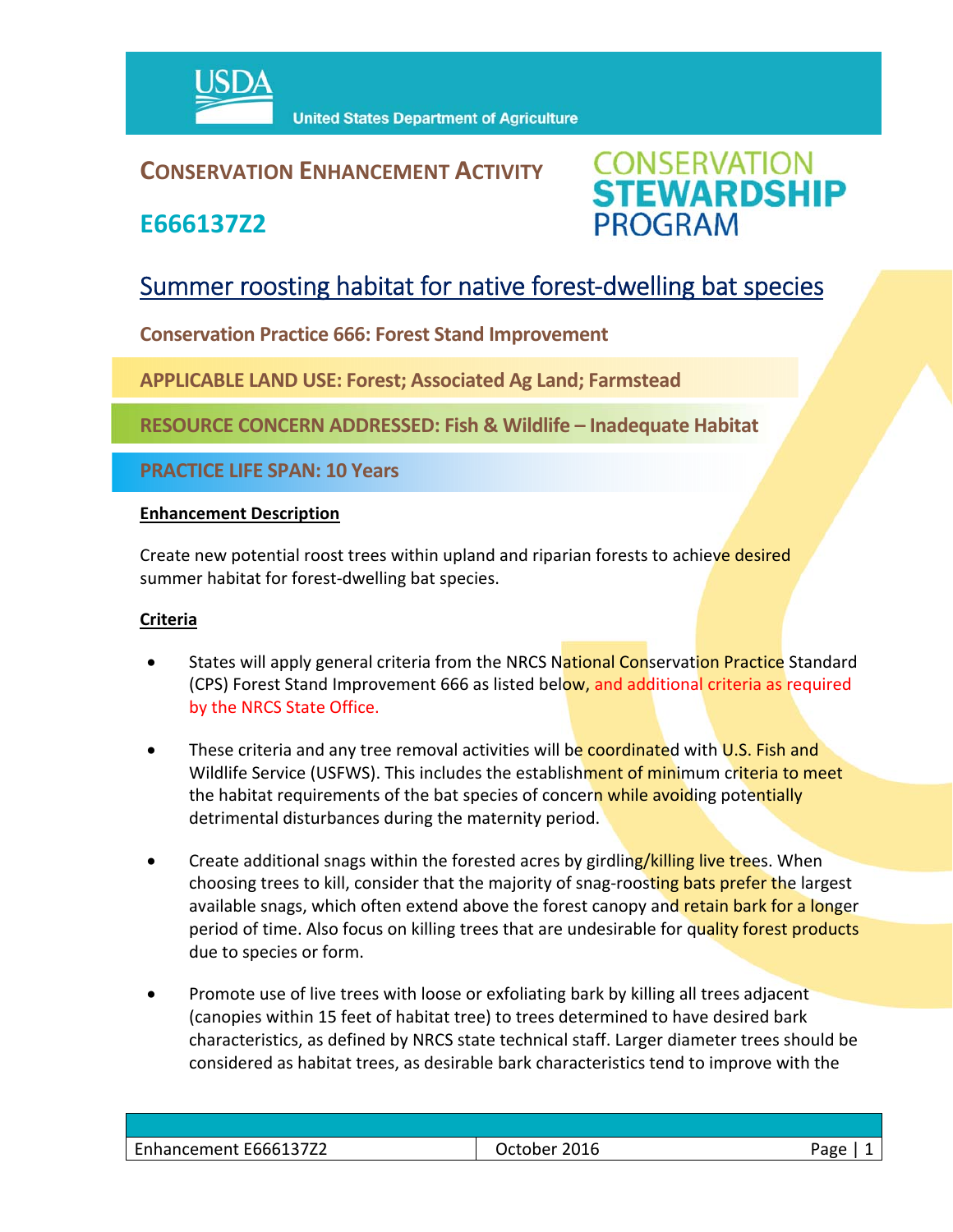

### **CONSERVATION ENHANCEMENT ACTIVITY**

**E666137Z2**

**CONSERVATION<br>STEWARDSHIP PROGRAM** 

## Summer roosting habitat for native forest-dwelling bat species

**Conservation Practice 666: Forest Stand Improvement** 

**APPLICABLE LAND USE: Forest; Associated Ag Land; Farmstead**

**RESOURCE CONCERN ADDRESSED: Fish & Wildlife – Inadequate Habitat**

**PRACTICE LIFE SPAN: 10 Years**

#### **Enhancement Description**

Create new potential roost trees within upland and riparian forests to achieve desired summer habitat for forest‐dwelling bat species.

#### **Criteria**

- States will apply general criteria from the NRCS National Conservation Practice Standard (CPS) Forest Stand Improvement 666 as listed below, and additional criteria as required by the NRCS State Office.
- These criteria and any tree removal activities will be coordinated with U.S. Fish and Wildlife Service (USFWS). This includes the establishment of minimum criteria to meet the habitat requirements of the bat species of concern while avoiding potentially detrimental disturbances during the maternity period.
- Create additional snags within the forested acres by girdling/killing live trees. When choosing trees to kill, consider that the majority of snag-roosting bats prefer the largest available snags, which often extend above the forest canopy and retain bark for a longer period of time. Also focus on killing trees that are undesirable for quality forest products due to species or form.
- Promote use of live trees with loose or exfoliating bark by killing all trees adjacent (canopies within 15 feet of habitat tree) to trees determined to have desired bark characteristics, as defined by NRCS state technical staff. Larger diameter trees should be considered as habitat trees, as desirable bark characteristics tend to improve with the

| Enhancement E666137Z2 | October 2016 | Page |
|-----------------------|--------------|------|